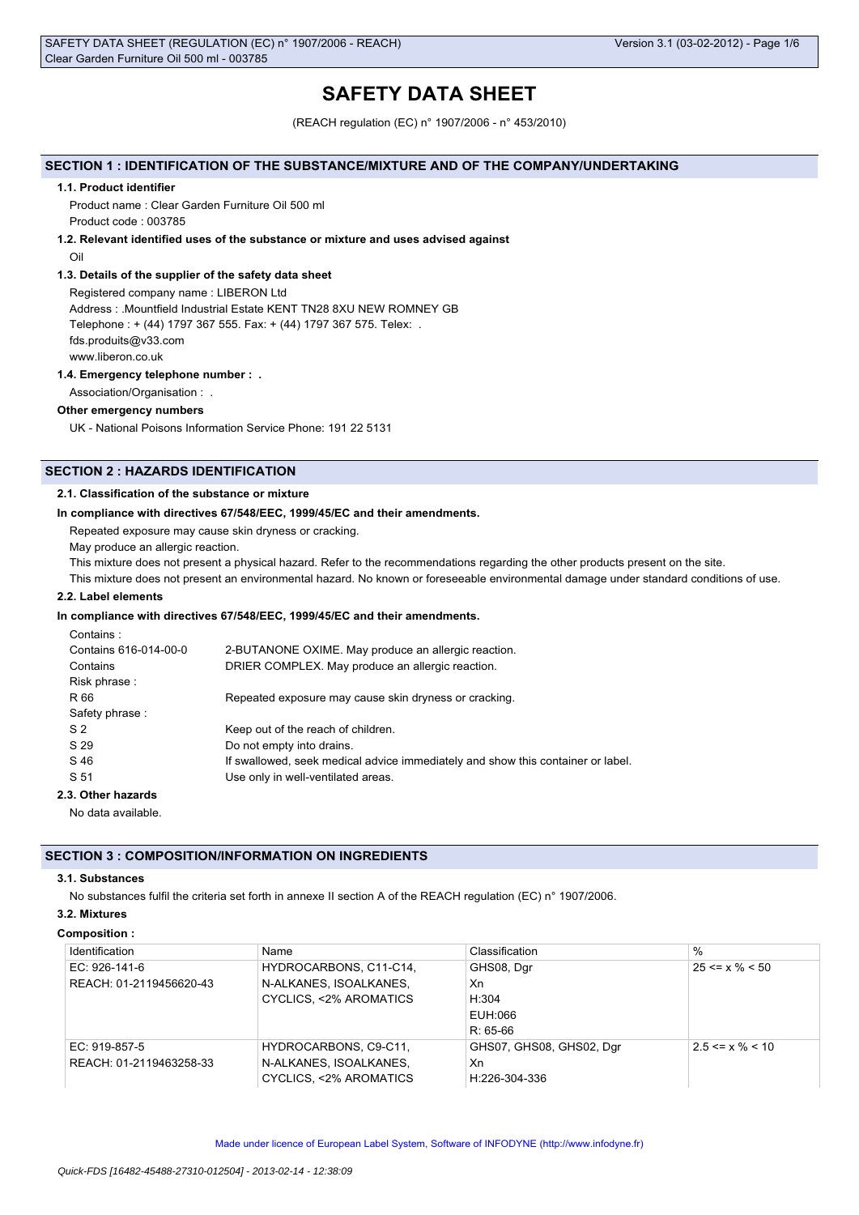# **SAFETY DATA SHEET**

(REACH regulation (EC) n° 1907/2006 - n° 453/2010)

# **SECTION 1 : IDENTIFICATION OF THE SUBSTANCE/MIXTURE AND OF THE COMPANY/UNDERTAKING**

# **1.1. Product identifier**

Product name : Clear Garden Furniture Oil 500 ml Product code : 003785

**1.2. Relevant identified uses of the substance or mixture and uses advised against**

Oil

# **1.3. Details of the supplier of the safety data sheet**

Registered company name : LIBERON Ltd Address : .Mountfield Industrial Estate KENT TN28 8XU NEW ROMNEY GB Telephone : + (44) 1797 367 555. Fax: + (44) 1797 367 575. Telex: . fds.produits@v33.com

www.liberon.co.uk

# **1.4. Emergency telephone number : .**

Association/Organisation : .

### **Other emergency numbers**

UK - National Poisons Information Service Phone: 191 22 5131

# **SECTION 2 : HAZARDS IDENTIFICATION**

# **2.1. Classification of the substance or mixture**

# **In compliance with directives 67/548/EEC, 1999/45/EC and their amendments.**

Repeated exposure may cause skin dryness or cracking.

May produce an allergic reaction.

This mixture does not present a physical hazard. Refer to the recommendations regarding the other products present on the site.

This mixture does not present an environmental hazard. No known or foreseeable environmental damage under standard conditions of use.

# **2.2. Label elements**

# **In compliance with directives 67/548/EEC, 1999/45/EC and their amendments.**

| Contains: |  |
|-----------|--|

| Contains 616-014-00-0<br>Contains | 2-BUTANONE OXIME. May produce an allergic reaction.<br>DRIER COMPLEX. May produce an allergic reaction. |
|-----------------------------------|---------------------------------------------------------------------------------------------------------|
| Risk phrase:                      |                                                                                                         |
| R 66                              | Repeated exposure may cause skin dryness or cracking.                                                   |
| Safety phrase:                    |                                                                                                         |
| S <sub>2</sub>                    | Keep out of the reach of children.                                                                      |
| S 29                              | Do not empty into drains.                                                                               |
| S 46                              | If swallowed, seek medical advice immediately and show this container or label.                         |
| S 51                              | Use only in well-ventilated areas.                                                                      |
|                                   |                                                                                                         |

# **2.3. Other hazards**

No data available.

# **SECTION 3 : COMPOSITION/INFORMATION ON INGREDIENTS**

# **3.1. Substances**

No substances fulfil the criteria set forth in annexe II section A of the REACH regulation (EC) n° 1907/2006.

# **3.2. Mixtures**

#### **Composition :**

| Identification          | Name                             | Classification           | $\%$                  |
|-------------------------|----------------------------------|--------------------------|-----------------------|
| EC: $926-141-6$         | HYDROCARBONS, C11-C14,           | GHS08, Dgr               | $25 \le x \% \le 50$  |
| REACH: 01-2119456620-43 | N-ALKANES, ISOALKANES,           | Xn                       |                       |
|                         | <b>CYCLICS, &lt;2% AROMATICS</b> | H:304                    |                       |
|                         |                                  | EUH:066                  |                       |
|                         |                                  | $R: 65-66$               |                       |
| EC: 919-857-5           | HYDROCARBONS, C9-C11.            | GHS07, GHS08, GHS02, Dgr | $2.5 \le x \% \le 10$ |
| REACH: 01-2119463258-33 | N-ALKANES, ISOALKANES.           | Xn                       |                       |
|                         | CYCLICS. <2% AROMATICS           | H:226-304-336            |                       |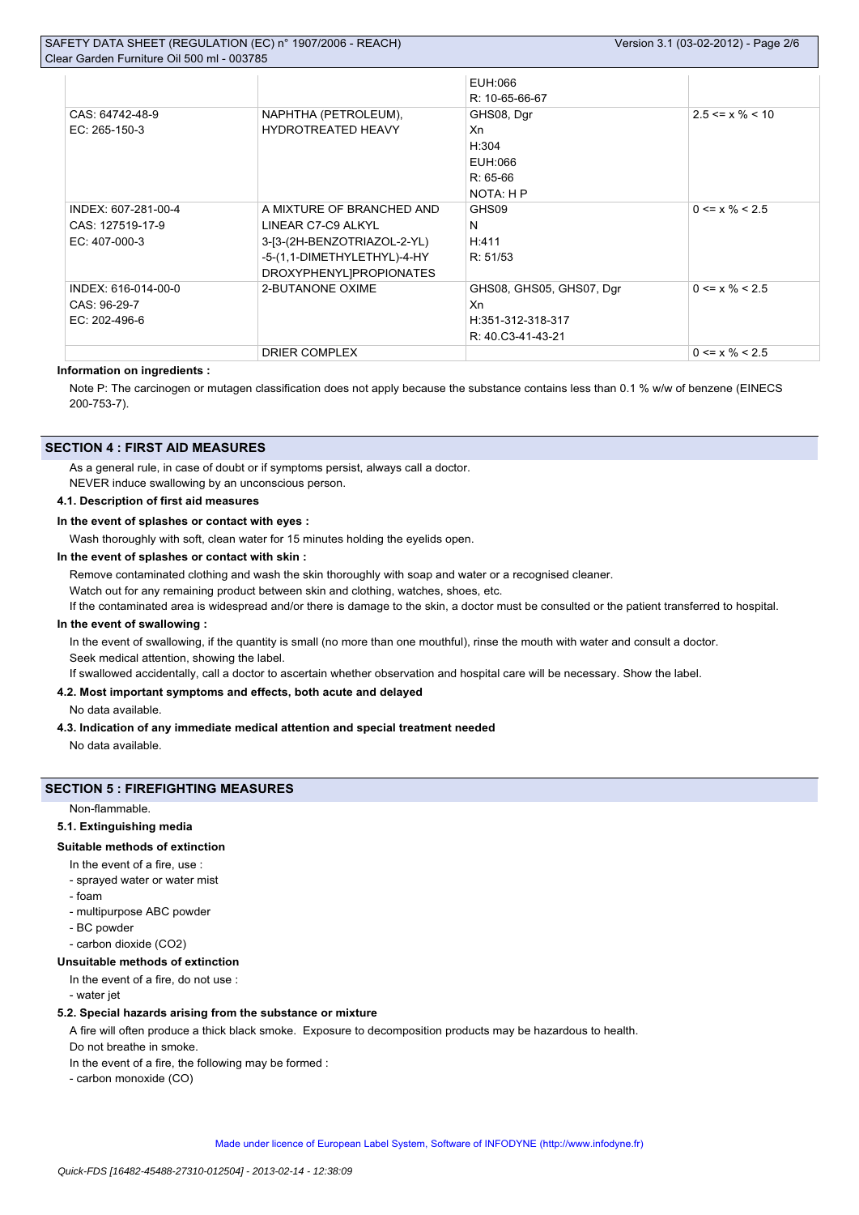|                     |                             | EUH:066                  |                       |
|---------------------|-----------------------------|--------------------------|-----------------------|
|                     |                             | R: 10-65-66-67           |                       |
| CAS: 64742-48-9     | NAPHTHA (PETROLEUM),        | GHS08, Dgr               | $2.5 \le x \% \le 10$ |
| EC: 265-150-3       | <b>HYDROTREATED HEAVY</b>   | Xn                       |                       |
|                     |                             | H:304                    |                       |
|                     |                             | EUH:066                  |                       |
|                     |                             | $R: 65-66$               |                       |
|                     |                             | NOTA: H P                |                       |
| INDEX: 607-281-00-4 | A MIXTURE OF BRANCHED AND   | GHS09                    | $0 \le x \% \le 2.5$  |
| CAS: 127519-17-9    | LINEAR C7-C9 ALKYL          | N                        |                       |
| EC: 407-000-3       | 3-[3-(2H-BENZOTRIAZOL-2-YL) | H:411                    |                       |
|                     | -5-(1,1-DIMETHYLETHYL)-4-HY | R: 51/53                 |                       |
|                     | DROXYPHENYL]PROPIONATES     |                          |                       |
| INDEX: 616-014-00-0 | 2-BUTANONE OXIME            | GHS08, GHS05, GHS07, Dgr | $0 \le x \% \le 2.5$  |
| CAS: 96-29-7        |                             | Xn                       |                       |
| EC: 202-496-6       |                             | H:351-312-318-317        |                       |
|                     |                             | R: 40.C3-41-43-21        |                       |
|                     | DRIER COMPLEX               |                          | $0 \le x \% \le 2.5$  |

# **Information on ingredients :**

Note P: The carcinogen or mutagen classification does not apply because the substance contains less than 0.1 % w/w of benzene (EINECS 200-753-7).

# **SECTION 4 : FIRST AID MEASURES**

As a general rule, in case of doubt or if symptoms persist, always call a doctor. NEVER induce swallowing by an unconscious person.

#### **4.1. Description of first aid measures**

**In the event of splashes or contact with eyes :**

Wash thoroughly with soft, clean water for 15 minutes holding the eyelids open.

# **In the event of splashes or contact with skin :**

Remove contaminated clothing and wash the skin thoroughly with soap and water or a recognised cleaner.

Watch out for any remaining product between skin and clothing, watches, shoes, etc.

If the contaminated area is widespread and/or there is damage to the skin, a doctor must be consulted or the patient transferred to hospital.

#### **In the event of swallowing :**

In the event of swallowing, if the quantity is small (no more than one mouthful), rinse the mouth with water and consult a doctor. Seek medical attention, showing the label.

If swallowed accidentally, call a doctor to ascertain whether observation and hospital care will be necessary. Show the label.

# **4.2. Most important symptoms and effects, both acute and delayed**

No data available.

### **4.3. Indication of any immediate medical attention and special treatment needed**

No data available.

# **SECTION 5 : FIREFIGHTING MEASURES**

Non-flammable.

#### **5.1. Extinguishing media**

#### **Suitable methods of extinction**

In the event of a fire, use :

- sprayed water or water mist
- foam
- multipurpose ABC powder
- BC powder
- carbon dioxide (CO2)

### **Unsuitable methods of extinction**

In the event of a fire, do not use :

- water jet

# **5.2. Special hazards arising from the substance or mixture**

A fire will often produce a thick black smoke. Exposure to decomposition products may be hazardous to health.

Do not breathe in smoke.

In the event of a fire, the following may be formed :

- carbon monoxide (CO)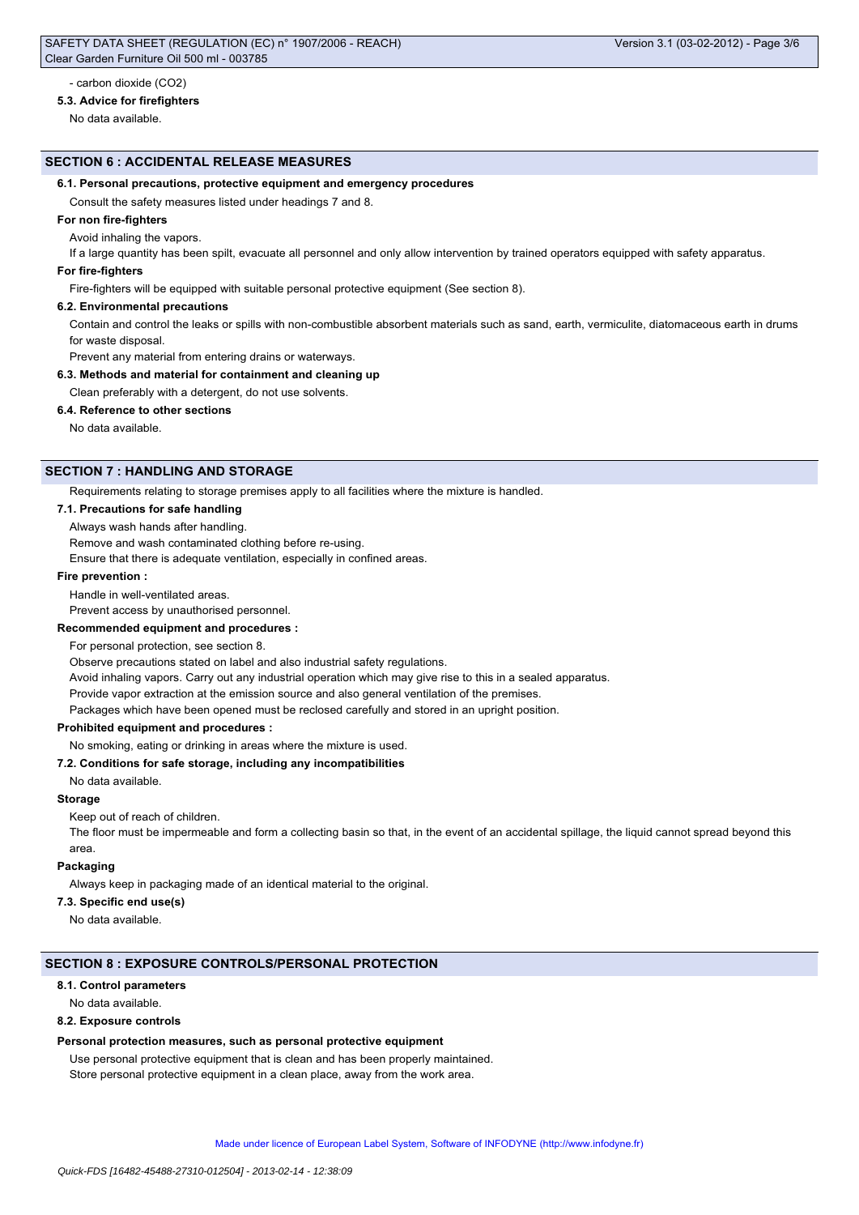#### **5.3. Advice for firefighters**

No data available.

# **SECTION 6 : ACCIDENTAL RELEASE MEASURES**

#### **6.1. Personal precautions, protective equipment and emergency procedures**

Consult the safety measures listed under headings 7 and 8.

#### **For non fire-fighters**

Avoid inhaling the vapors.

If a large quantity has been spilt, evacuate all personnel and only allow intervention by trained operators equipped with safety apparatus.

### **For fire-fighters**

Fire-fighters will be equipped with suitable personal protective equipment (See section 8).

#### **6.2. Environmental precautions**

Contain and control the leaks or spills with non-combustible absorbent materials such as sand, earth, vermiculite, diatomaceous earth in drums for waste disposal.

Prevent any material from entering drains or waterways.

### **6.3. Methods and material for containment and cleaning up**

Clean preferably with a detergent, do not use solvents.

#### **6.4. Reference to other sections**

No data available.

### **SECTION 7 : HANDLING AND STORAGE**

Requirements relating to storage premises apply to all facilities where the mixture is handled.

### **7.1. Precautions for safe handling**

Always wash hands after handling.

Remove and wash contaminated clothing before re-using.

Ensure that there is adequate ventilation, especially in confined areas.

#### **Fire prevention :**

Handle in well-ventilated areas.

Prevent access by unauthorised personnel.

# **Recommended equipment and procedures :**

For personal protection, see section 8.

Observe precautions stated on label and also industrial safety regulations.

Avoid inhaling vapors. Carry out any industrial operation which may give rise to this in a sealed apparatus.

Provide vapor extraction at the emission source and also general ventilation of the premises.

Packages which have been opened must be reclosed carefully and stored in an upright position.

# **Prohibited equipment and procedures :**

No smoking, eating or drinking in areas where the mixture is used.

### **7.2. Conditions for safe storage, including any incompatibilities**

No data available.

# **Storage**

Keep out of reach of children.

The floor must be impermeable and form a collecting basin so that, in the event of an accidental spillage, the liquid cannot spread beyond this area.

#### **Packaging**

Always keep in packaging made of an identical material to the original.

# **7.3. Specific end use(s)**

No data available.

#### **SECTION 8 : EXPOSURE CONTROLS/PERSONAL PROTECTION**

#### **8.1. Control parameters**

No data available.

#### **8.2. Exposure controls**

#### **Personal protection measures, such as personal protective equipment**

Use personal protective equipment that is clean and has been properly maintained.

Store personal protective equipment in a clean place, away from the work area.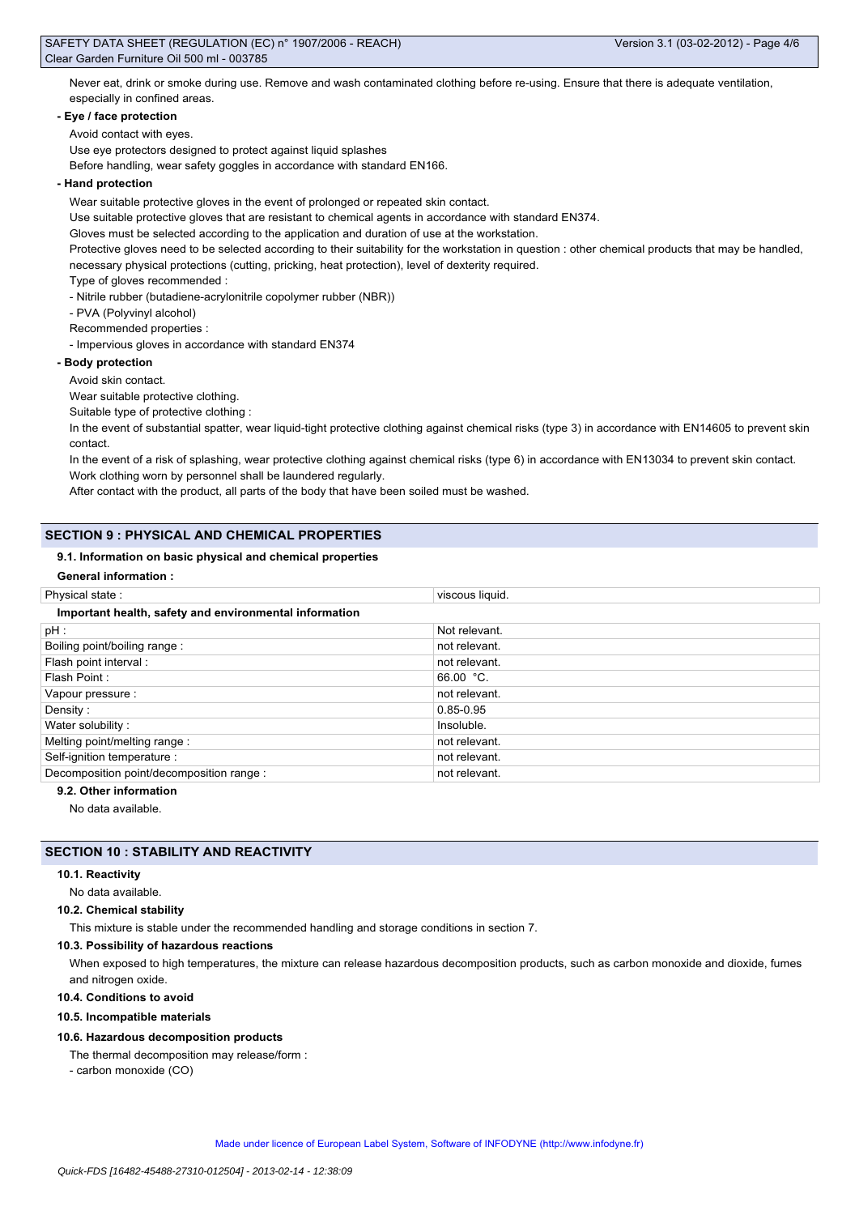Never eat, drink or smoke during use. Remove and wash contaminated clothing before re-using. Ensure that there is adequate ventilation, especially in confined areas.

# **- Eye / face protection**

# Avoid contact with eyes.

Use eye protectors designed to protect against liquid splashes

Before handling, wear safety goggles in accordance with standard EN166.

# **- Hand protection**

Wear suitable protective gloves in the event of prolonged or repeated skin contact.

Use suitable protective gloves that are resistant to chemical agents in accordance with standard EN374.

Gloves must be selected according to the application and duration of use at the workstation.

Protective gloves need to be selected according to their suitability for the workstation in question : other chemical products that may be handled, necessary physical protections (cutting, pricking, heat protection), level of dexterity required.

Type of gloves recommended :

- Nitrile rubber (butadiene-acrylonitrile copolymer rubber (NBR))

- PVA (Polyvinyl alcohol)

Recommended properties :

- Impervious gloves in accordance with standard EN374

# **- Body protection**

Avoid skin contact.

Wear suitable protective clothing.

Suitable type of protective clothing :

In the event of substantial spatter, wear liquid-tight protective clothing against chemical risks (type 3) in accordance with EN14605 to prevent skin contact.

In the event of a risk of splashing, wear protective clothing against chemical risks (type 6) in accordance with EN13034 to prevent skin contact. Work clothing worn by personnel shall be laundered regularly.

After contact with the product, all parts of the body that have been soiled must be washed.

# **SECTION 9 : PHYSICAL AND CHEMICAL PROPERTIES**

### **9.1. Information on basic physical and chemical properties**

**General information :**

| Physical state:                                        | viscous liquid. |
|--------------------------------------------------------|-----------------|
| Important health, safety and environmental information |                 |
| pH:                                                    | Not relevant.   |
| Boiling point/boiling range:                           | not relevant.   |
| Flash point interval:                                  | not relevant.   |
| Flash Point:                                           | $66.00 °C$ .    |
| Vapour pressure :                                      | not relevant.   |
| Density:                                               | 0.85-0.95       |
| Water solubility:                                      | Insoluble.      |
| Melting point/melting range:                           | not relevant.   |
| Self-ignition temperature :                            | not relevant.   |
| Decomposition point/decomposition range :              | not relevant.   |

# **9.2. Other information**

No data available.

# **SECTION 10 : STABILITY AND REACTIVITY**

#### **10.1. Reactivity**

No data available.

# **10.2. Chemical stability**

This mixture is stable under the recommended handling and storage conditions in section 7.

# **10.3. Possibility of hazardous reactions**

When exposed to high temperatures, the mixture can release hazardous decomposition products, such as carbon monoxide and dioxide, fumes and nitrogen oxide.

#### **10.4. Conditions to avoid**

#### **10.5. Incompatible materials**

#### **10.6. Hazardous decomposition products**

The thermal decomposition may release/form : - carbon monoxide (CO)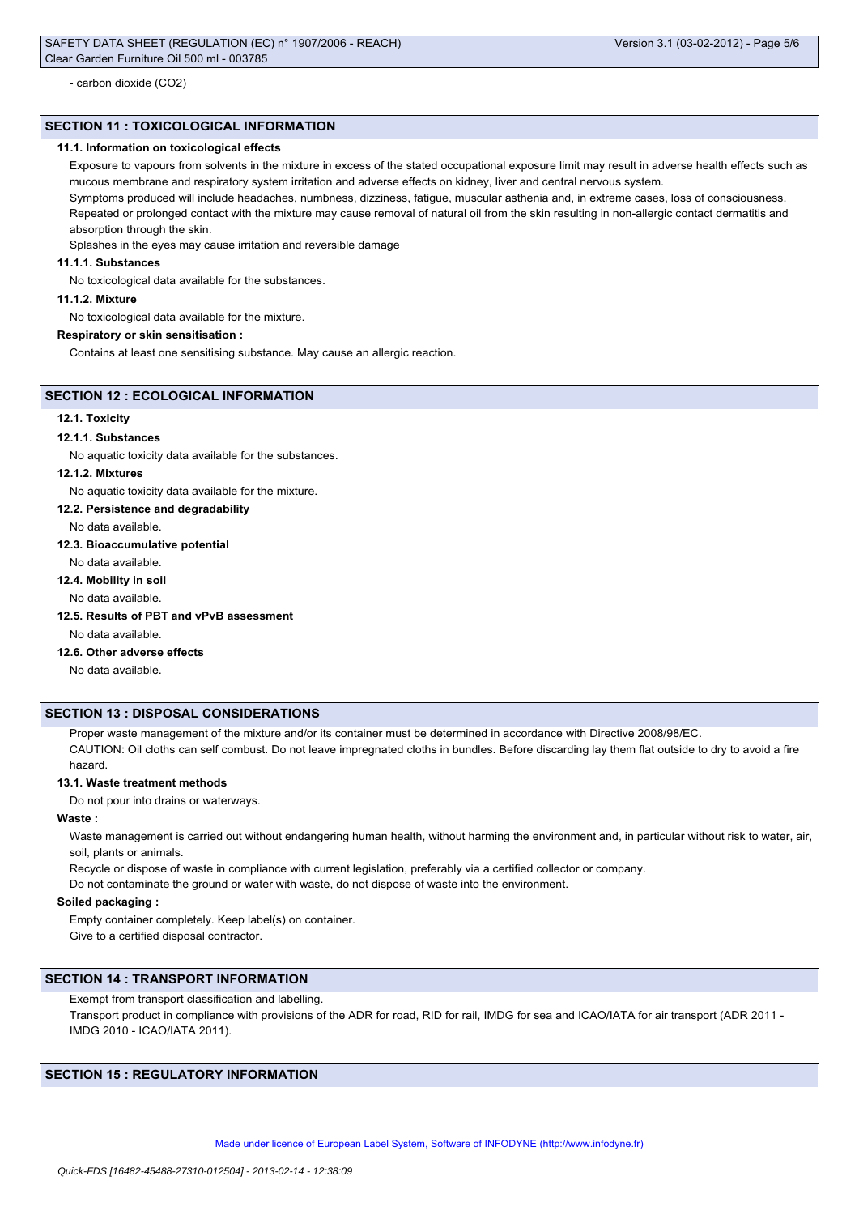# **SECTION 11 : TOXICOLOGICAL INFORMATION**

### **11.1. Information on toxicological effects**

Exposure to vapours from solvents in the mixture in excess of the stated occupational exposure limit may result in adverse health effects such as mucous membrane and respiratory system irritation and adverse effects on kidney, liver and central nervous system. Symptoms produced will include headaches, numbness, dizziness, fatigue, muscular asthenia and, in extreme cases, loss of consciousness. Repeated or prolonged contact with the mixture may cause removal of natural oil from the skin resulting in non-allergic contact dermatitis and absorption through the skin.

Splashes in the eyes may cause irritation and reversible damage

# **11.1.1. Substances**

No toxicological data available for the substances.

# **11.1.2. Mixture**

No toxicological data available for the mixture.

### **Respiratory or skin sensitisation :**

Contains at least one sensitising substance. May cause an allergic reaction.

# **SECTION 12 : ECOLOGICAL INFORMATION**

#### **12.1. Toxicity**

#### **12.1.1. Substances**

No aquatic toxicity data available for the substances.

#### **12.1.2. Mixtures**

No aquatic toxicity data available for the mixture.

#### **12.2. Persistence and degradability**

No data available.

#### **12.3. Bioaccumulative potential**

No data available.

# **12.4. Mobility in soil**

No data available.

#### **12.5. Results of PBT and vPvB assessment**

No data available.

# **12.6. Other adverse effects**

No data available.

# **SECTION 13 : DISPOSAL CONSIDERATIONS**

Proper waste management of the mixture and/or its container must be determined in accordance with Directive 2008/98/EC. CAUTION: Oil cloths can self combust. Do not leave impregnated cloths in bundles. Before discarding lay them flat outside to dry to avoid a fire hazard.

#### **13.1. Waste treatment methods**

Do not pour into drains or waterways.

# **Waste :**

Waste management is carried out without endangering human health, without harming the environment and, in particular without risk to water, air, soil, plants or animals.

Recycle or dispose of waste in compliance with current legislation, preferably via a certified collector or company.

Do not contaminate the ground or water with waste, do not dispose of waste into the environment.

# **Soiled packaging :**

Empty container completely. Keep label(s) on container. Give to a certified disposal contractor.

# **SECTION 14 : TRANSPORT INFORMATION**

Exempt from transport classification and labelling.

Transport product in compliance with provisions of the ADR for road, RID for rail, IMDG for sea and ICAO/IATA for air transport (ADR 2011 -IMDG 2010 - ICAO/IATA 2011).

# **SECTION 15 : REGULATORY INFORMATION**